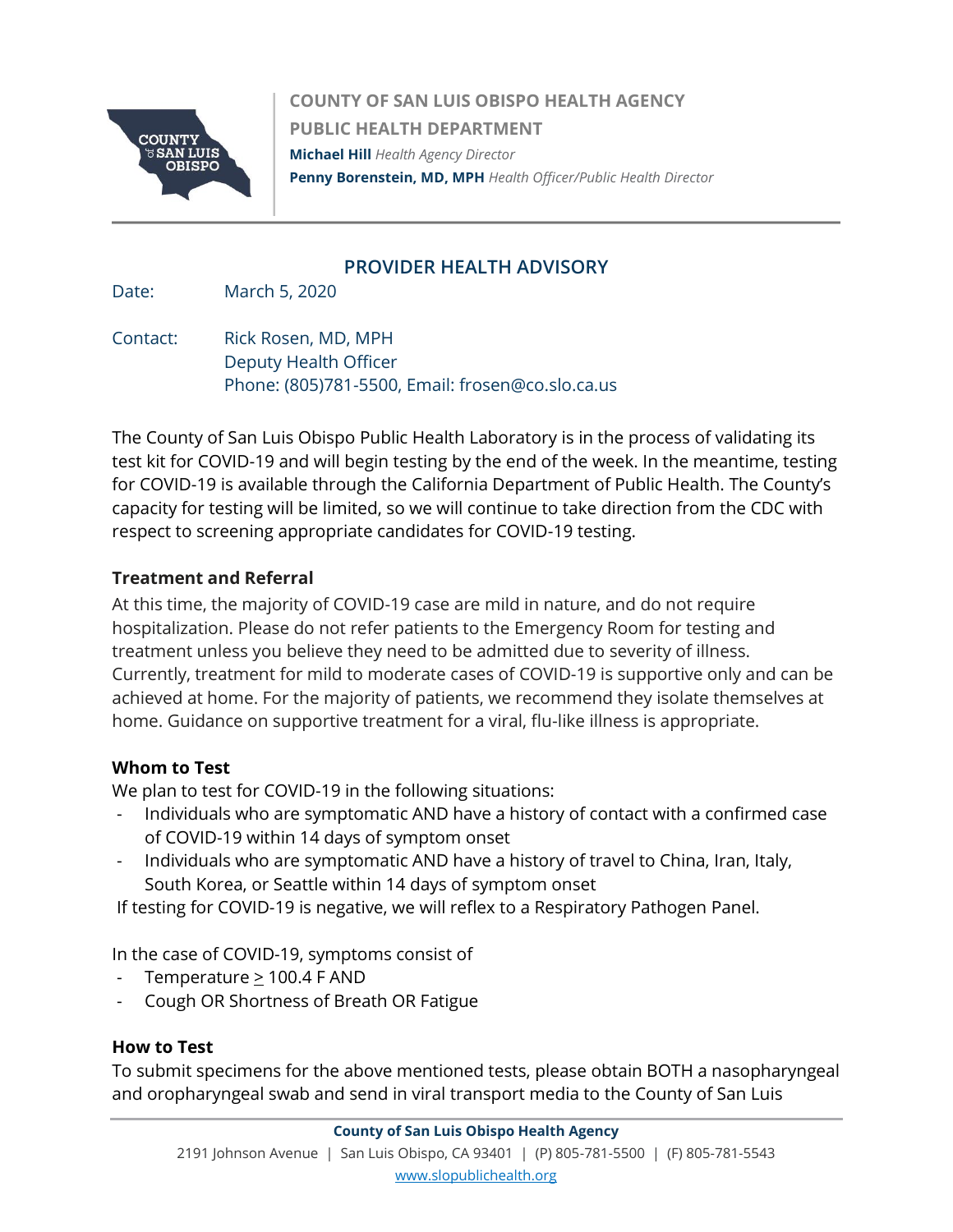

**COUNTY OF SAN LUIS OBISPO HEALTH AGENCY PUBLIC HEALTH DEPARTMENT Michael Hill** *Health Agency Director*  **Penny Borenstein, MD, MPH** *Health Officer/Public Health Director*

## **PROVIDER HEALTH ADVISORY**

Date: March 5, 2020

Contact: Rick Rosen, MD, MPH Deputy Health Officer Phone: (805)781-5500, Email: frosen@co.slo.ca.us

The County of San Luis Obispo Public Health Laboratory is in the process of validating its test kit for COVID-19 and will begin testing by the end of the week. In the meantime, testing for COVID-19 is available through the California Department of Public Health. The County's capacity for testing will be limited, so we will continue to take direction from the CDC with respect to screening appropriate candidates for COVID-19 testing.

## **Treatment and Referral**

At this time, the majority of COVID-19 case are mild in nature, and do not require hospitalization. Please do not refer patients to the Emergency Room for testing and treatment unless you believe they need to be admitted due to severity of illness. Currently, treatment for mild to moderate cases of COVID-19 is supportive only and can be achieved at home. For the majority of patients, we recommend they isolate themselves at home. Guidance on supportive treatment for a viral, flu-like illness is appropriate.

## **Whom to Test**

We plan to test for COVID-19 in the following situations:

- Individuals who are symptomatic AND have a history of contact with a confirmed case of COVID-19 within 14 days of symptom onset
- Individuals who are symptomatic AND have a history of travel to China, Iran, Italy, South Korea, or Seattle within 14 days of symptom onset

If testing for COVID-19 is negative, we will reflex to a Respiratory Pathogen Panel.

In the case of COVID-19, symptoms consist of

- Temperature > 100.4 F AND
- Cough OR Shortness of Breath OR Fatigue

## **How to Test**

To submit specimens for the above mentioned tests, please obtain BOTH a nasopharyngeal and oropharyngeal swab and send in viral transport media to the County of San Luis